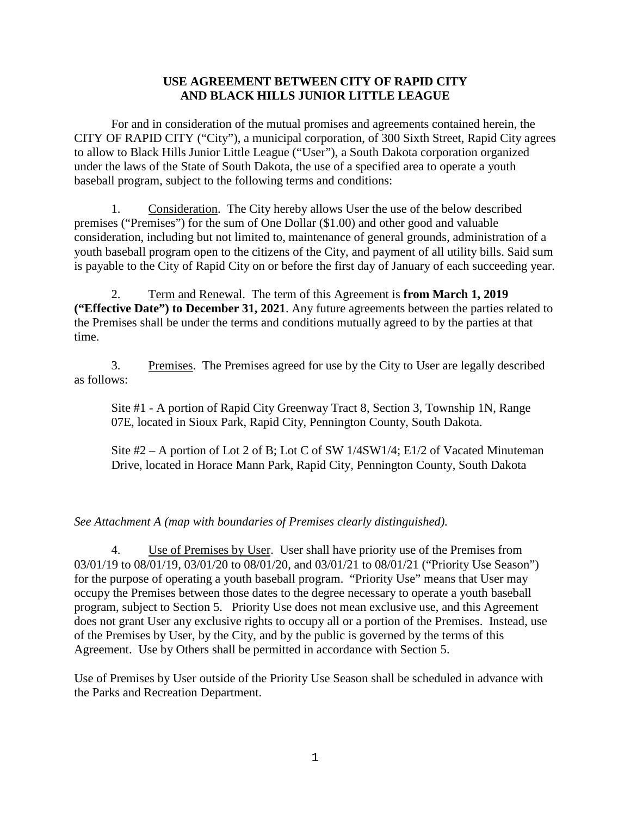### **USE AGREEMENT BETWEEN CITY OF RAPID CITY AND BLACK HILLS JUNIOR LITTLE LEAGUE**

For and in consideration of the mutual promises and agreements contained herein, the CITY OF RAPID CITY ("City"), a municipal corporation, of 300 Sixth Street, Rapid City agrees to allow to Black Hills Junior Little League ("User"), a South Dakota corporation organized under the laws of the State of South Dakota, the use of a specified area to operate a youth baseball program, subject to the following terms and conditions:

1. Consideration. The City hereby allows User the use of the below described premises ("Premises") for the sum of One Dollar (\$1.00) and other good and valuable consideration, including but not limited to, maintenance of general grounds, administration of a youth baseball program open to the citizens of the City, and payment of all utility bills. Said sum is payable to the City of Rapid City on or before the first day of January of each succeeding year.

2. Term and Renewal. The term of this Agreement is **from March 1, 2019 ("Effective Date") to December 31, 2021**. Any future agreements between the parties related to the Premises shall be under the terms and conditions mutually agreed to by the parties at that time.

3. Premises. The Premises agreed for use by the City to User are legally described as follows:

Site #1 - A portion of Rapid City Greenway Tract 8, Section 3, Township 1N, Range 07E, located in Sioux Park, Rapid City, Pennington County, South Dakota.

Site  $#2 - A$  portion of Lot 2 of B; Lot C of SW  $1/4SW1/4$ ; E1/2 of Vacated Minuteman Drive, located in Horace Mann Park, Rapid City, Pennington County, South Dakota

# *See Attachment A (map with boundaries of Premises clearly distinguished).*

4. Use of Premises by User. User shall have priority use of the Premises from 03/01/19 to 08/01/19, 03/01/20 to 08/01/20, and 03/01/21 to 08/01/21 ("Priority Use Season") for the purpose of operating a youth baseball program. "Priority Use" means that User may occupy the Premises between those dates to the degree necessary to operate a youth baseball program, subject to Section 5. Priority Use does not mean exclusive use, and this Agreement does not grant User any exclusive rights to occupy all or a portion of the Premises. Instead, use of the Premises by User, by the City, and by the public is governed by the terms of this Agreement. Use by Others shall be permitted in accordance with Section 5.

Use of Premises by User outside of the Priority Use Season shall be scheduled in advance with the Parks and Recreation Department.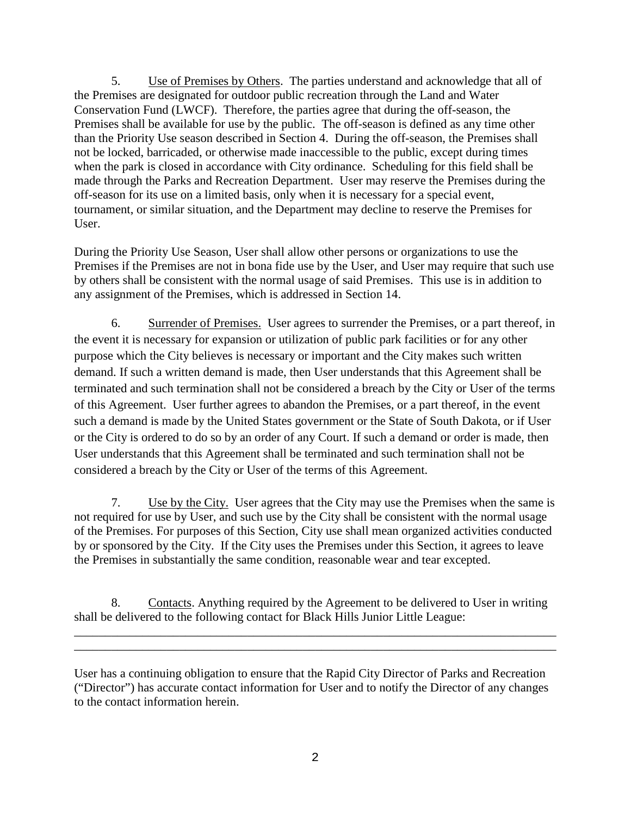5. Use of Premises by Others. The parties understand and acknowledge that all of the Premises are designated for outdoor public recreation through the Land and Water Conservation Fund (LWCF). Therefore, the parties agree that during the off-season, the Premises shall be available for use by the public. The off-season is defined as any time other than the Priority Use season described in Section 4. During the off-season, the Premises shall not be locked, barricaded, or otherwise made inaccessible to the public, except during times when the park is closed in accordance with City ordinance. Scheduling for this field shall be made through the Parks and Recreation Department. User may reserve the Premises during the off-season for its use on a limited basis, only when it is necessary for a special event, tournament, or similar situation, and the Department may decline to reserve the Premises for User.

During the Priority Use Season, User shall allow other persons or organizations to use the Premises if the Premises are not in bona fide use by the User, and User may require that such use by others shall be consistent with the normal usage of said Premises. This use is in addition to any assignment of the Premises, which is addressed in Section 14.

6. Surrender of Premises. User agrees to surrender the Premises, or a part thereof, in the event it is necessary for expansion or utilization of public park facilities or for any other purpose which the City believes is necessary or important and the City makes such written demand. If such a written demand is made, then User understands that this Agreement shall be terminated and such termination shall not be considered a breach by the City or User of the terms of this Agreement. User further agrees to abandon the Premises, or a part thereof, in the event such a demand is made by the United States government or the State of South Dakota, or if User or the City is ordered to do so by an order of any Court. If such a demand or order is made, then User understands that this Agreement shall be terminated and such termination shall not be considered a breach by the City or User of the terms of this Agreement.

7. Use by the City. User agrees that the City may use the Premises when the same is not required for use by User, and such use by the City shall be consistent with the normal usage of the Premises. For purposes of this Section, City use shall mean organized activities conducted by or sponsored by the City. If the City uses the Premises under this Section, it agrees to leave the Premises in substantially the same condition, reasonable wear and tear excepted.

8. Contacts. Anything required by the Agreement to be delivered to User in writing shall be delivered to the following contact for Black Hills Junior Little League:

\_\_\_\_\_\_\_\_\_\_\_\_\_\_\_\_\_\_\_\_\_\_\_\_\_\_\_\_\_\_\_\_\_\_\_\_\_\_\_\_\_\_\_\_\_\_\_\_\_\_\_\_\_\_\_\_\_\_\_\_\_\_\_\_\_\_\_\_\_\_\_\_\_\_\_\_\_\_ \_\_\_\_\_\_\_\_\_\_\_\_\_\_\_\_\_\_\_\_\_\_\_\_\_\_\_\_\_\_\_\_\_\_\_\_\_\_\_\_\_\_\_\_\_\_\_\_\_\_\_\_\_\_\_\_\_\_\_\_\_\_\_\_\_\_\_\_\_\_\_\_\_\_\_\_\_\_

User has a continuing obligation to ensure that the Rapid City Director of Parks and Recreation ("Director") has accurate contact information for User and to notify the Director of any changes to the contact information herein.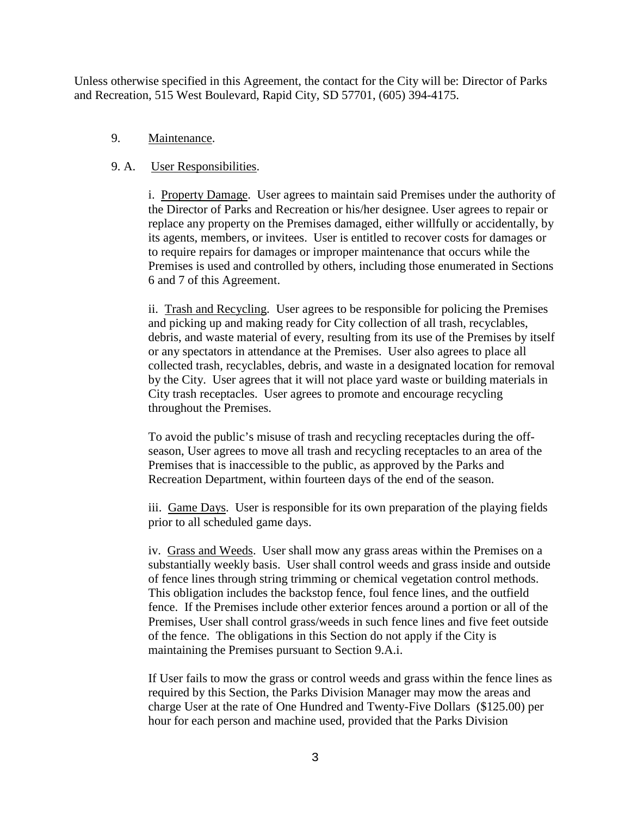Unless otherwise specified in this Agreement, the contact for the City will be: Director of Parks and Recreation, 515 West Boulevard, Rapid City, SD 57701, (605) 394-4175.

#### 9. Maintenance.

### 9. A. User Responsibilities.

i. Property Damage. User agrees to maintain said Premises under the authority of the Director of Parks and Recreation or his/her designee. User agrees to repair or replace any property on the Premises damaged, either willfully or accidentally, by its agents, members, or invitees. User is entitled to recover costs for damages or to require repairs for damages or improper maintenance that occurs while the Premises is used and controlled by others, including those enumerated in Sections 6 and 7 of this Agreement.

ii. Trash and Recycling. User agrees to be responsible for policing the Premises and picking up and making ready for City collection of all trash, recyclables, debris, and waste material of every, resulting from its use of the Premises by itself or any spectators in attendance at the Premises. User also agrees to place all collected trash, recyclables, debris, and waste in a designated location for removal by the City. User agrees that it will not place yard waste or building materials in City trash receptacles. User agrees to promote and encourage recycling throughout the Premises.

To avoid the public's misuse of trash and recycling receptacles during the offseason, User agrees to move all trash and recycling receptacles to an area of the Premises that is inaccessible to the public, as approved by the Parks and Recreation Department, within fourteen days of the end of the season.

iii. Game Days. User is responsible for its own preparation of the playing fields prior to all scheduled game days.

iv. Grass and Weeds. User shall mow any grass areas within the Premises on a substantially weekly basis. User shall control weeds and grass inside and outside of fence lines through string trimming or chemical vegetation control methods. This obligation includes the backstop fence, foul fence lines, and the outfield fence. If the Premises include other exterior fences around a portion or all of the Premises, User shall control grass/weeds in such fence lines and five feet outside of the fence. The obligations in this Section do not apply if the City is maintaining the Premises pursuant to Section 9.A.i.

If User fails to mow the grass or control weeds and grass within the fence lines as required by this Section, the Parks Division Manager may mow the areas and charge User at the rate of One Hundred and Twenty-Five Dollars (\$125.00) per hour for each person and machine used, provided that the Parks Division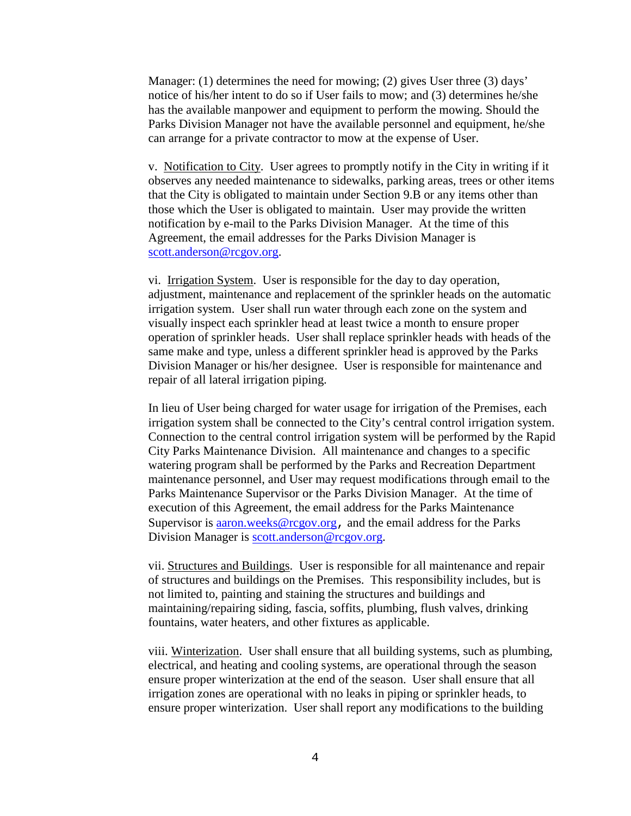Manager: (1) determines the need for mowing; (2) gives User three (3) days' notice of his/her intent to do so if User fails to mow; and (3) determines he/she has the available manpower and equipment to perform the mowing. Should the Parks Division Manager not have the available personnel and equipment, he/she can arrange for a private contractor to mow at the expense of User.

v. Notification to City. User agrees to promptly notify in the City in writing if it observes any needed maintenance to sidewalks, parking areas, trees or other items that the City is obligated to maintain under Section 9.B or any items other than those which the User is obligated to maintain. User may provide the written notification by e-mail to the Parks Division Manager. At the time of this Agreement, the email addresses for the Parks Division Manager is [scott.anderson@rcgov.org.](mailto:scott.anderson@rcgov.org)

vi. Irrigation System. User is responsible for the day to day operation, adjustment, maintenance and replacement of the sprinkler heads on the automatic irrigation system. User shall run water through each zone on the system and visually inspect each sprinkler head at least twice a month to ensure proper operation of sprinkler heads. User shall replace sprinkler heads with heads of the same make and type, unless a different sprinkler head is approved by the Parks Division Manager or his/her designee. User is responsible for maintenance and repair of all lateral irrigation piping.

In lieu of User being charged for water usage for irrigation of the Premises, each irrigation system shall be connected to the City's central control irrigation system. Connection to the central control irrigation system will be performed by the Rapid City Parks Maintenance Division. All maintenance and changes to a specific watering program shall be performed by the Parks and Recreation Department maintenance personnel, and User may request modifications through email to the Parks Maintenance Supervisor or the Parks Division Manager. At the time of execution of this Agreement, the email address for the Parks Maintenance Supervisor is [aaron.weeks@rcgov.org](mailto:aaron.weeks@rcgov.org), and the email address for the Parks Division Manager is [scott.anderson@rcgov.org.](mailto:scott.anderson@rcgov.org)

vii. Structures and Buildings. User is responsible for all maintenance and repair of structures and buildings on the Premises. This responsibility includes, but is not limited to, painting and staining the structures and buildings and maintaining/repairing siding, fascia, soffits, plumbing, flush valves, drinking fountains, water heaters, and other fixtures as applicable.

viii. Winterization. User shall ensure that all building systems, such as plumbing, electrical, and heating and cooling systems, are operational through the season ensure proper winterization at the end of the season. User shall ensure that all irrigation zones are operational with no leaks in piping or sprinkler heads, to ensure proper winterization. User shall report any modifications to the building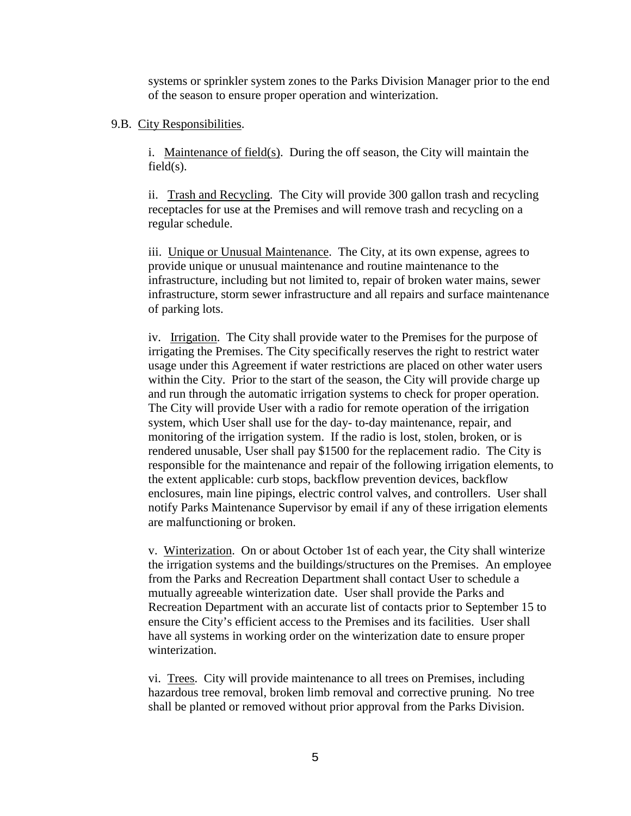systems or sprinkler system zones to the Parks Division Manager prior to the end of the season to ensure proper operation and winterization.

#### 9.B. City Responsibilities.

i. Maintenance of field(s). During the off season, the City will maintain the  $field(s)$ .

ii. Trash and Recycling. The City will provide 300 gallon trash and recycling receptacles for use at the Premises and will remove trash and recycling on a regular schedule.

iii. Unique or Unusual Maintenance. The City, at its own expense, agrees to provide unique or unusual maintenance and routine maintenance to the infrastructure, including but not limited to, repair of broken water mains, sewer infrastructure, storm sewer infrastructure and all repairs and surface maintenance of parking lots.

iv. Irrigation. The City shall provide water to the Premises for the purpose of irrigating the Premises. The City specifically reserves the right to restrict water usage under this Agreement if water restrictions are placed on other water users within the City. Prior to the start of the season, the City will provide charge up and run through the automatic irrigation systems to check for proper operation. The City will provide User with a radio for remote operation of the irrigation system, which User shall use for the day- to-day maintenance, repair, and monitoring of the irrigation system. If the radio is lost, stolen, broken, or is rendered unusable, User shall pay \$1500 for the replacement radio. The City is responsible for the maintenance and repair of the following irrigation elements, to the extent applicable: curb stops, backflow prevention devices, backflow enclosures, main line pipings, electric control valves, and controllers. User shall notify Parks Maintenance Supervisor by email if any of these irrigation elements are malfunctioning or broken.

v. Winterization. On or about October 1st of each year, the City shall winterize the irrigation systems and the buildings/structures on the Premises. An employee from the Parks and Recreation Department shall contact User to schedule a mutually agreeable winterization date. User shall provide the Parks and Recreation Department with an accurate list of contacts prior to September 15 to ensure the City's efficient access to the Premises and its facilities. User shall have all systems in working order on the winterization date to ensure proper winterization.

vi. Trees. City will provide maintenance to all trees on Premises, including hazardous tree removal, broken limb removal and corrective pruning. No tree shall be planted or removed without prior approval from the Parks Division.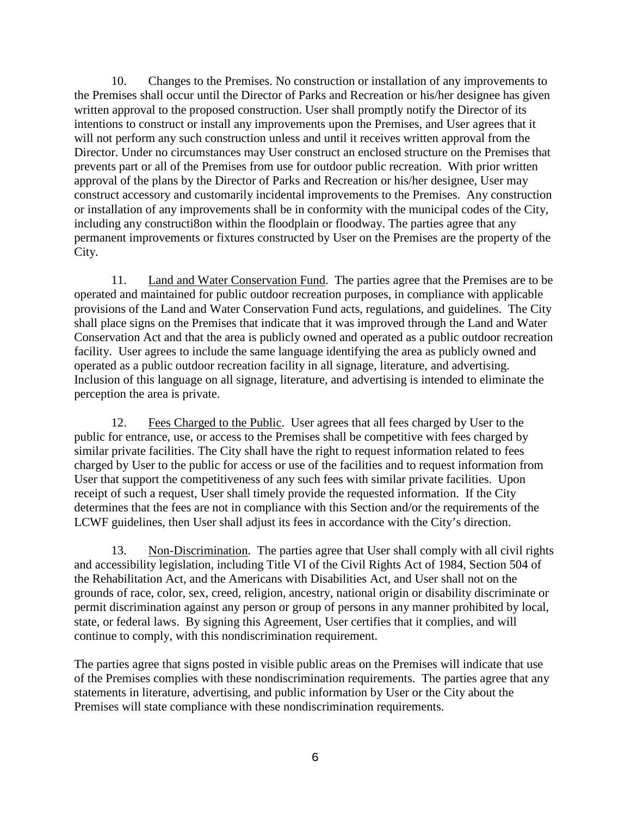10. Changes to the Premises. No construction or installation of any improvements to the Premises shall occur until the Director of Parks and Recreation or his/her designee has given written approval to the proposed construction. User shall promptly notify the Director of its intentions to construct or install any improvements upon the Premises, and User agrees that it will not perform any such construction unless and until it receives written approval from the Director. Under no circumstances may User construct an enclosed structure on the Premises that prevents part or all of the Premises from use for outdoor public recreation. With prior written approval of the plans by the Director of Parks and Recreation or his/her designee, User may construct accessory and customarily incidental improvements to the Premises. Any construction or installation of any improvements shall be in conformity with the municipal codes of the City, including any constructi8on within the floodplain or floodway. The parties agree that any permanent improvements or fixtures constructed by User on the Premises are the property of the City.

11. Land and Water Conservation Fund. The parties agree that the Premises are to be operated and maintained for public outdoor recreation purposes, in compliance with applicable provisions of the Land and Water Conservation Fund acts, regulations, and guidelines. The City shall place signs on the Premises that indicate that it was improved through the Land and Water Conservation Act and that the area is publicly owned and operated as a public outdoor recreation facility. User agrees to include the same language identifying the area as publicly owned and operated as a public outdoor recreation facility in all signage, literature, and advertising. Inclusion of this language on all signage, literature, and advertising is intended to eliminate the perception the area is private.

12. Fees Charged to the Public. User agrees that all fees charged by User to the public for entrance, use, or access to the Premises shall be competitive with fees charged by similar private facilities. The City shall have the right to request information related to fees charged by User to the public for access or use of the facilities and to request information from User that support the competitiveness of any such fees with similar private facilities. Upon receipt of such a request, User shall timely provide the requested information. If the City determines that the fees are not in compliance with this Section and/or the requirements of the LCWF guidelines, then User shall adjust its fees in accordance with the City's direction.

13. Non-Discrimination. The parties agree that User shall comply with all civil rights and accessibility legislation, including Title VI of the Civil Rights Act of 1984, Section 504 of the Rehabilitation Act, and the Americans with Disabilities Act, and User shall not on the grounds of race, color, sex, creed, religion, ancestry, national origin or disability discriminate or permit discrimination against any person or group of persons in any manner prohibited by local, state, or federal laws. By signing this Agreement, User certifies that it complies, and will continue to comply, with this nondiscrimination requirement.

The parties agree that signs posted in visible public areas on the Premises will indicate that use of the Premises complies with these nondiscrimination requirements. The parties agree that any statements in literature, advertising, and public information by User or the City about the Premises will state compliance with these nondiscrimination requirements.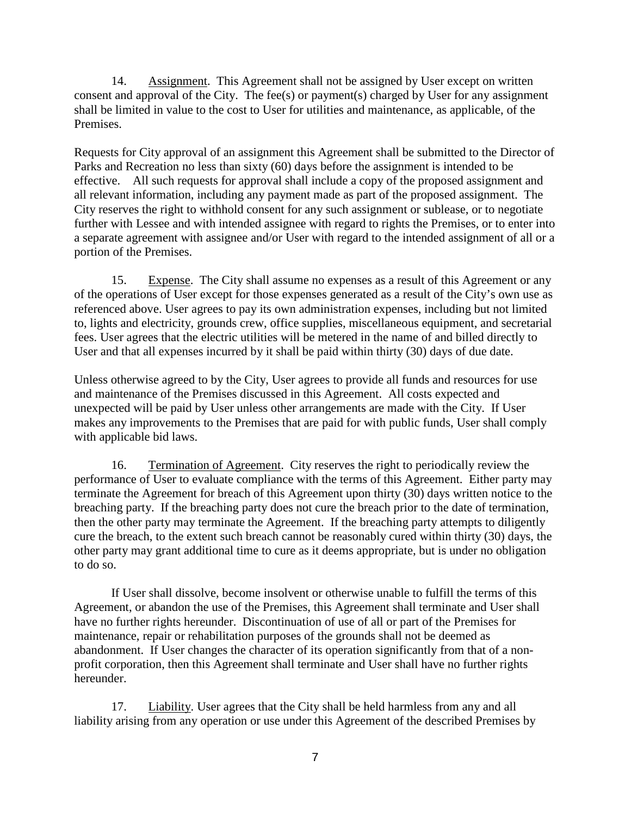14. Assignment. This Agreement shall not be assigned by User except on written consent and approval of the City. The fee(s) or payment(s) charged by User for any assignment shall be limited in value to the cost to User for utilities and maintenance, as applicable, of the Premises.

Requests for City approval of an assignment this Agreement shall be submitted to the Director of Parks and Recreation no less than sixty (60) days before the assignment is intended to be effective. All such requests for approval shall include a copy of the proposed assignment and all relevant information, including any payment made as part of the proposed assignment. The City reserves the right to withhold consent for any such assignment or sublease, or to negotiate further with Lessee and with intended assignee with regard to rights the Premises, or to enter into a separate agreement with assignee and/or User with regard to the intended assignment of all or a portion of the Premises.

15. Expense. The City shall assume no expenses as a result of this Agreement or any of the operations of User except for those expenses generated as a result of the City's own use as referenced above. User agrees to pay its own administration expenses, including but not limited to, lights and electricity, grounds crew, office supplies, miscellaneous equipment, and secretarial fees. User agrees that the electric utilities will be metered in the name of and billed directly to User and that all expenses incurred by it shall be paid within thirty (30) days of due date.

Unless otherwise agreed to by the City, User agrees to provide all funds and resources for use and maintenance of the Premises discussed in this Agreement. All costs expected and unexpected will be paid by User unless other arrangements are made with the City. If User makes any improvements to the Premises that are paid for with public funds, User shall comply with applicable bid laws.

16. Termination of Agreement. City reserves the right to periodically review the performance of User to evaluate compliance with the terms of this Agreement. Either party may terminate the Agreement for breach of this Agreement upon thirty (30) days written notice to the breaching party. If the breaching party does not cure the breach prior to the date of termination, then the other party may terminate the Agreement. If the breaching party attempts to diligently cure the breach, to the extent such breach cannot be reasonably cured within thirty (30) days, the other party may grant additional time to cure as it deems appropriate, but is under no obligation to do so.

If User shall dissolve, become insolvent or otherwise unable to fulfill the terms of this Agreement, or abandon the use of the Premises, this Agreement shall terminate and User shall have no further rights hereunder. Discontinuation of use of all or part of the Premises for maintenance, repair or rehabilitation purposes of the grounds shall not be deemed as abandonment. If User changes the character of its operation significantly from that of a nonprofit corporation, then this Agreement shall terminate and User shall have no further rights hereunder.

17. Liability. User agrees that the City shall be held harmless from any and all liability arising from any operation or use under this Agreement of the described Premises by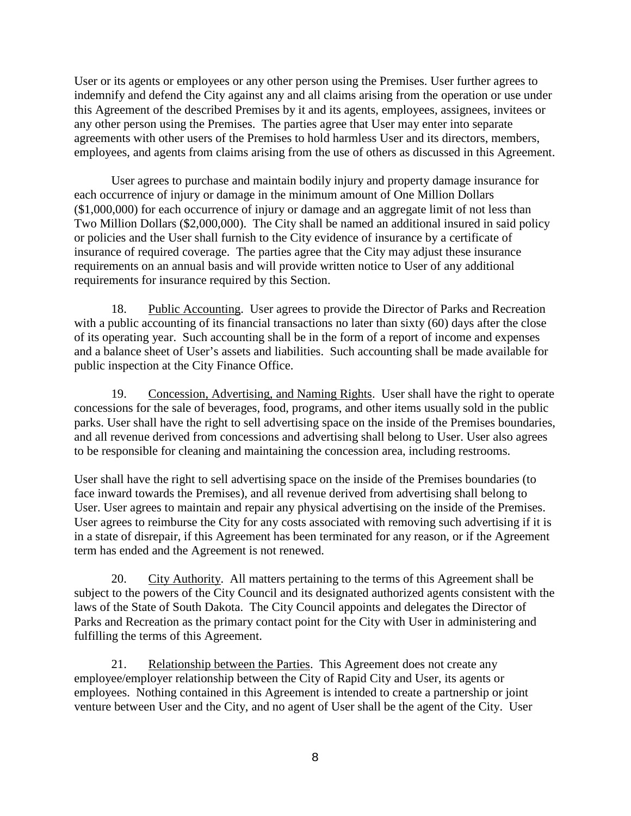User or its agents or employees or any other person using the Premises. User further agrees to indemnify and defend the City against any and all claims arising from the operation or use under this Agreement of the described Premises by it and its agents, employees, assignees, invitees or any other person using the Premises. The parties agree that User may enter into separate agreements with other users of the Premises to hold harmless User and its directors, members, employees, and agents from claims arising from the use of others as discussed in this Agreement.

User agrees to purchase and maintain bodily injury and property damage insurance for each occurrence of injury or damage in the minimum amount of One Million Dollars (\$1,000,000) for each occurrence of injury or damage and an aggregate limit of not less than Two Million Dollars (\$2,000,000). The City shall be named an additional insured in said policy or policies and the User shall furnish to the City evidence of insurance by a certificate of insurance of required coverage. The parties agree that the City may adjust these insurance requirements on an annual basis and will provide written notice to User of any additional requirements for insurance required by this Section.

18. Public Accounting. User agrees to provide the Director of Parks and Recreation with a public accounting of its financial transactions no later than sixty (60) days after the close of its operating year. Such accounting shall be in the form of a report of income and expenses and a balance sheet of User's assets and liabilities. Such accounting shall be made available for public inspection at the City Finance Office.

19. Concession, Advertising, and Naming Rights. User shall have the right to operate concessions for the sale of beverages, food, programs, and other items usually sold in the public parks. User shall have the right to sell advertising space on the inside of the Premises boundaries, and all revenue derived from concessions and advertising shall belong to User. User also agrees to be responsible for cleaning and maintaining the concession area, including restrooms.

User shall have the right to sell advertising space on the inside of the Premises boundaries (to face inward towards the Premises), and all revenue derived from advertising shall belong to User. User agrees to maintain and repair any physical advertising on the inside of the Premises. User agrees to reimburse the City for any costs associated with removing such advertising if it is in a state of disrepair, if this Agreement has been terminated for any reason, or if the Agreement term has ended and the Agreement is not renewed.

20. City Authority. All matters pertaining to the terms of this Agreement shall be subject to the powers of the City Council and its designated authorized agents consistent with the laws of the State of South Dakota. The City Council appoints and delegates the Director of Parks and Recreation as the primary contact point for the City with User in administering and fulfilling the terms of this Agreement.

21. Relationship between the Parties. This Agreement does not create any employee/employer relationship between the City of Rapid City and User, its agents or employees. Nothing contained in this Agreement is intended to create a partnership or joint venture between User and the City, and no agent of User shall be the agent of the City. User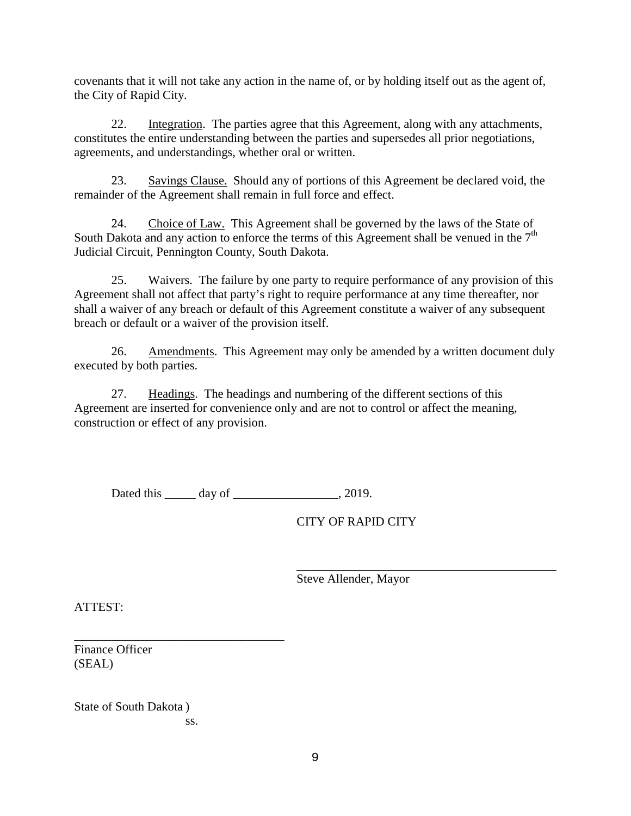covenants that it will not take any action in the name of, or by holding itself out as the agent of, the City of Rapid City.

22. Integration. The parties agree that this Agreement, along with any attachments, constitutes the entire understanding between the parties and supersedes all prior negotiations, agreements, and understandings, whether oral or written.

23. Savings Clause. Should any of portions of this Agreement be declared void, the remainder of the Agreement shall remain in full force and effect.

24. Choice of Law. This Agreement shall be governed by the laws of the State of South Dakota and any action to enforce the terms of this Agreement shall be venued in the  $7<sup>th</sup>$ Judicial Circuit, Pennington County, South Dakota.

25. Waivers. The failure by one party to require performance of any provision of this Agreement shall not affect that party's right to require performance at any time thereafter, nor shall a waiver of any breach or default of this Agreement constitute a waiver of any subsequent breach or default or a waiver of the provision itself.

26. Amendments. This Agreement may only be amended by a written document duly executed by both parties.

27. Headings. The headings and numbering of the different sections of this Agreement are inserted for convenience only and are not to control or affect the meaning, construction or effect of any provision.

Dated this  $\qquad \qquad$  day of  $\qquad \qquad$ , 2019.

CITY OF RAPID CITY

Steve Allender, Mayor

ATTEST:

\_\_\_\_\_\_\_\_\_\_\_\_\_\_\_\_\_\_\_\_\_\_\_\_\_\_\_\_\_\_\_\_\_\_ Finance Officer (SEAL)

State of South Dakota ) ss.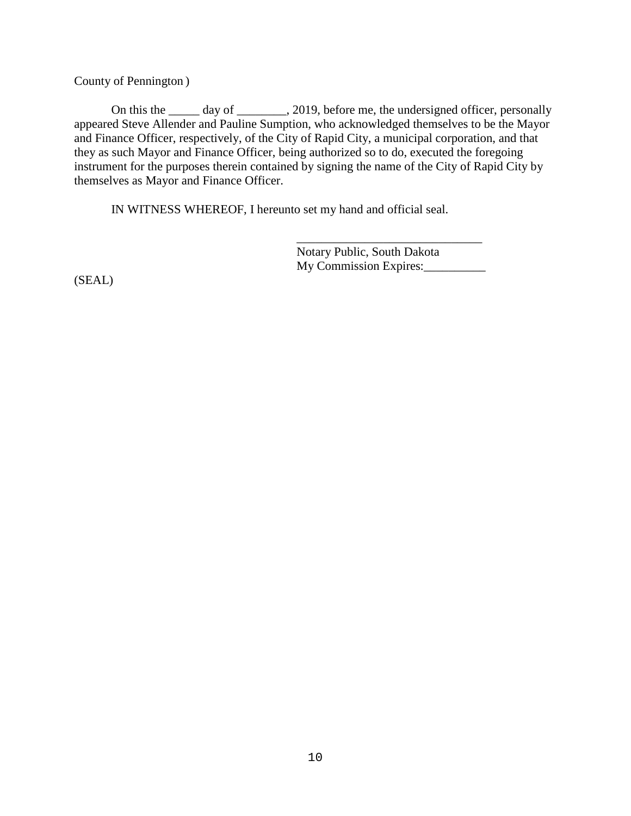County of Pennington )

On this the \_\_\_\_\_ day of \_\_\_\_\_\_\_, 2019, before me, the undersigned officer, personally appeared Steve Allender and Pauline Sumption, who acknowledged themselves to be the Mayor and Finance Officer, respectively, of the City of Rapid City, a municipal corporation, and that they as such Mayor and Finance Officer, being authorized so to do, executed the foregoing instrument for the purposes therein contained by signing the name of the City of Rapid City by themselves as Mayor and Finance Officer.

IN WITNESS WHEREOF, I hereunto set my hand and official seal.

\_\_\_\_\_\_\_\_\_\_\_\_\_\_\_\_\_\_\_\_\_\_\_\_\_\_\_\_\_\_ Notary Public, South Dakota My Commission Expires:\_\_\_\_\_\_\_\_\_\_

(SEAL)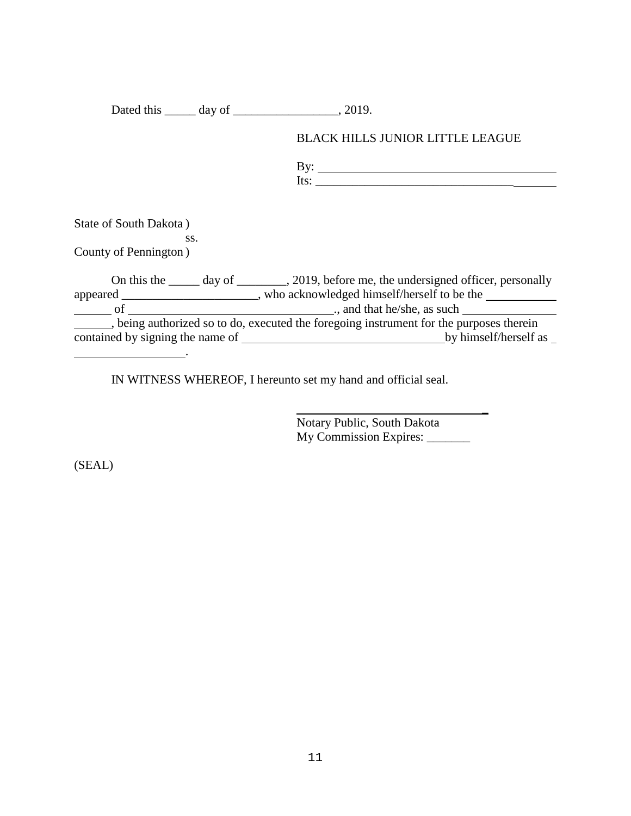Dated this \_\_\_\_\_ day of \_\_\_\_\_\_\_\_\_\_\_\_\_\_\_\_\_\_, 2019.

## BLACK HILLS JUNIOR LITTLE LEAGUE

By:  $Its: ____________$ 

\_

State of South Dakota ) ss. County of Pennington )

On this the \_\_\_\_\_ day of \_\_\_\_\_\_\_, 2019, before me, the undersigned officer, personally appeared \_\_\_\_\_\_\_\_\_\_\_\_\_\_\_\_\_\_\_, who acknowledged himself/herself to be the of ., and that he/she, as such , being authorized so to do, executed the foregoing instrument for the purposes therein contained by signing the name of **by himself**/herself as  $\Box$ .

IN WITNESS WHEREOF, I hereunto set my hand and official seal.

Notary Public, South Dakota My Commission Expires: \_\_\_\_\_\_\_

(SEAL)